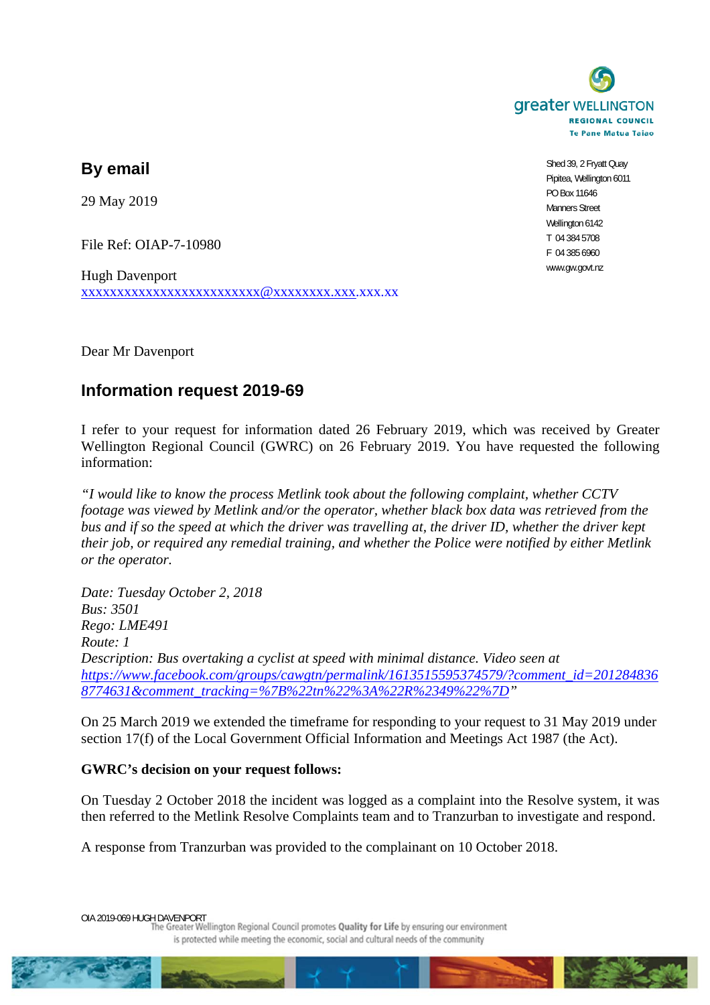

**By email** 

29 May 2019

File Ref: OIAP-7-10980

Hugh Davenport xxxxxxxxxxxxxxxxxxxxxxxxx@xxxxxxxx.xxx.xxx.xx

Shed 39, 2 Fryatt Quay Pipitea, Wellington 6011 PO Box 11646 Manners Street Wellington 6142 T 04 384 5708 F 04 385 6960 www.gw.govt.nz

Dear Mr Davenport

## **Information request 2019-69**

I refer to your request for information dated 26 February 2019, which was received by Greater Wellington Regional Council (GWRC) on 26 February 2019. You have requested the following information:

*"I would like to know the process Metlink took about the following complaint, whether CCTV footage was viewed by Metlink and/or the operator, whether black box data was retrieved from the bus and if so the speed at which the driver was travelling at, the driver ID, whether the driver kept their job, or required any remedial training, and whether the Police were notified by either Metlink or the operator.* 

*Date: Tuesday October 2, 2018 Bus: 3501 Rego: LME491 Route: 1 Description: Bus overtaking a cyclist at speed with minimal distance. Video seen at https://www.facebook.com/groups/cawgtn/permalink/1613515595374579/?comment\_id=201284836 8774631&comment\_tracking=%7B%22tn%22%3A%22R%2349%22%7D"* 

On 25 March 2019 we extended the timeframe for responding to your request to 31 May 2019 under section 17(f) of the Local Government Official Information and Meetings Act 1987 (the Act).

## **GWRC's decision on your request follows:**

On Tuesday 2 October 2018 the incident was logged as a complaint into the Resolve system, it was then referred to the Metlink Resolve Complaints team and to Tranzurban to investigate and respond.

A response from Tranzurban was provided to the complainant on 10 October 2018.

OIA 2019-069 HUGH DAVENPORT<br>The Greater Wellington Regional Council promotes Quality for Life by ensuring our environment is protected while meeting the economic, social and cultural needs of the community